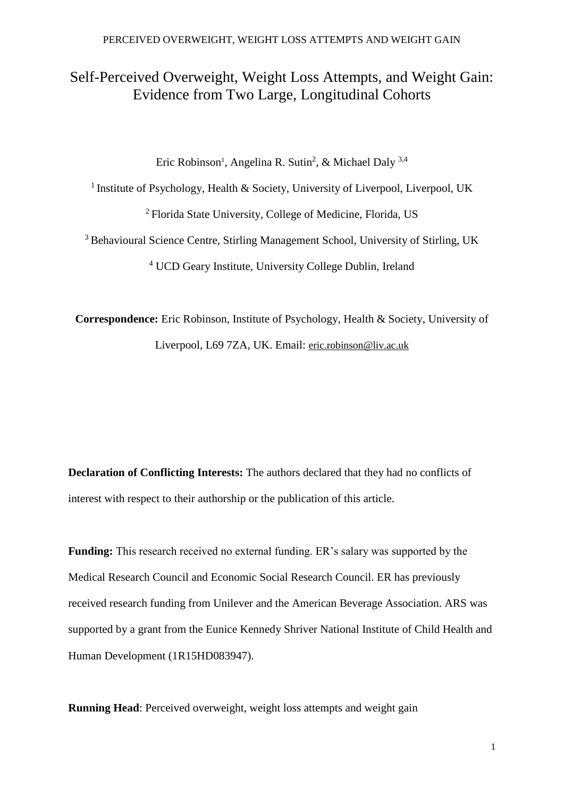# Self-Perceived Overweight, Weight Loss Attempts, and Weight Gain: Evidence from Two Large, Longitudinal Cohorts

Eric Robinson<sup>1</sup>, Angelina R. Sutin<sup>2</sup>, & Michael Daly<sup>3,4</sup>

<sup>1</sup> Institute of Psychology, Health & Society, University of Liverpool, Liverpool, UK <sup>2</sup> Florida State University, College of Medicine, Florida, US

<sup>3</sup> Behavioural Science Centre, Stirling Management School, University of Stirling, UK <sup>4</sup> UCD Geary Institute, University College Dublin, Ireland

**Correspondence:** Eric Robinson, Institute of Psychology, Health & Society, University of Liverpool, L69 7ZA, UK. Email: [eric.robinson@liv.ac.uk](mailto:eric.robinson@liv.ac.uk)

**Declaration of Conflicting Interests:** The authors declared that they had no conflicts of interest with respect to their authorship or the publication of this article.

**Funding:** This research received no external funding. ER's salary was supported by the Medical Research Council and Economic Social Research Council. ER has previously received research funding from Unilever and the American Beverage Association. ARS was supported by a grant from the Eunice Kennedy Shriver National Institute of Child Health and Human Development (1R15HD083947).

**Running Head**: Perceived overweight, weight loss attempts and weight gain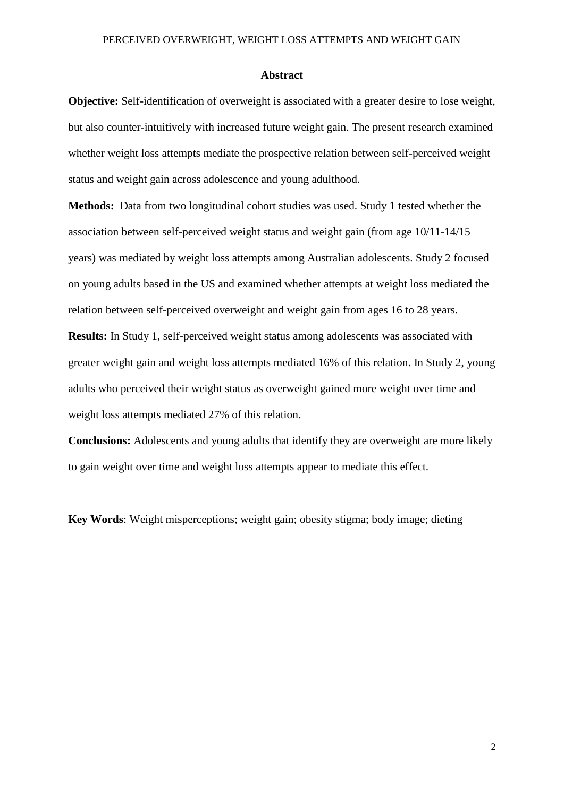#### **Abstract**

**Objective:** Self-identification of overweight is associated with a greater desire to lose weight, but also counter-intuitively with increased future weight gain. The present research examined whether weight loss attempts mediate the prospective relation between self-perceived weight status and weight gain across adolescence and young adulthood.

**Methods:** Data from two longitudinal cohort studies was used. Study 1 tested whether the association between self-perceived weight status and weight gain (from age 10/11-14/15 years) was mediated by weight loss attempts among Australian adolescents. Study 2 focused on young adults based in the US and examined whether attempts at weight loss mediated the relation between self-perceived overweight and weight gain from ages 16 to 28 years.

**Results:** In Study 1, self-perceived weight status among adolescents was associated with greater weight gain and weight loss attempts mediated 16% of this relation. In Study 2, young adults who perceived their weight status as overweight gained more weight over time and weight loss attempts mediated 27% of this relation.

**Conclusions:** Adolescents and young adults that identify they are overweight are more likely to gain weight over time and weight loss attempts appear to mediate this effect.

**Key Words**: Weight misperceptions; weight gain; obesity stigma; body image; dieting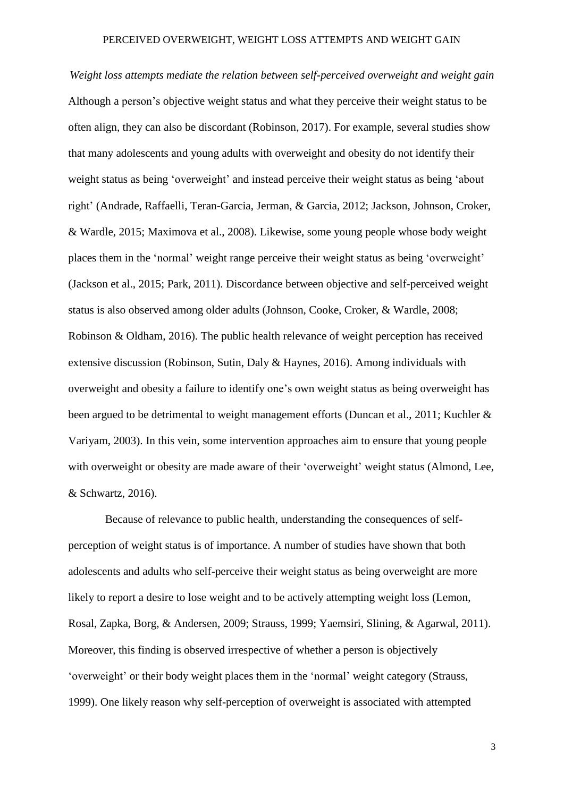*Weight loss attempts mediate the relation between self-perceived overweight and weight gain*  Although a person's objective weight status and what they perceive their weight status to be often align, they can also be discordant (Robinson, 2017). For example, several studies show that many adolescents and young adults with overweight and obesity do not identify their weight status as being 'overweight' and instead perceive their weight status as being 'about right' (Andrade, Raffaelli, Teran-Garcia, Jerman, & Garcia, 2012; Jackson, Johnson, Croker, & Wardle, 2015; Maximova et al., 2008). Likewise, some young people whose body weight places them in the 'normal' weight range perceive their weight status as being 'overweight' (Jackson et al., 2015; Park, 2011). Discordance between objective and self-perceived weight status is also observed among older adults (Johnson, Cooke, Croker, & Wardle, 2008; Robinson & Oldham, 2016). The public health relevance of weight perception has received extensive discussion (Robinson, Sutin, Daly & Haynes, 2016). Among individuals with overweight and obesity a failure to identify one's own weight status as being overweight has been argued to be detrimental to weight management efforts (Duncan et al., 2011; Kuchler & Variyam, 2003). In this vein, some intervention approaches aim to ensure that young people with overweight or obesity are made aware of their 'overweight' weight status (Almond, Lee, & Schwartz, 2016).

Because of relevance to public health, understanding the consequences of selfperception of weight status is of importance. A number of studies have shown that both adolescents and adults who self-perceive their weight status as being overweight are more likely to report a desire to lose weight and to be actively attempting weight loss (Lemon, Rosal, Zapka, Borg, & Andersen, 2009; Strauss, 1999; Yaemsiri, Slining, & Agarwal, 2011). Moreover, this finding is observed irrespective of whether a person is objectively 'overweight' or their body weight places them in the 'normal' weight category (Strauss, 1999). One likely reason why self-perception of overweight is associated with attempted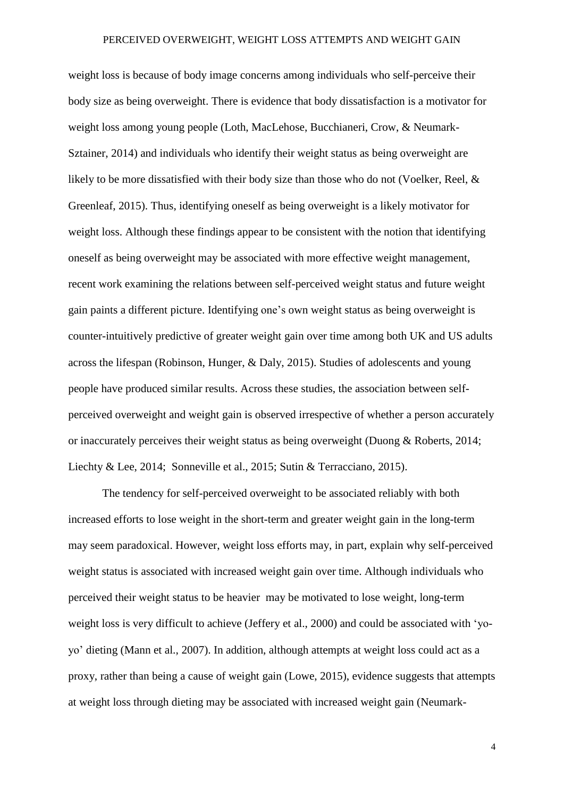weight loss is because of body image concerns among individuals who self-perceive their body size as being overweight. There is evidence that body dissatisfaction is a motivator for weight loss among young people (Loth, MacLehose, Bucchianeri, Crow, & Neumark-Sztainer, 2014) and individuals who identify their weight status as being overweight are likely to be more dissatisfied with their body size than those who do not (Voelker, Reel, & Greenleaf, 2015). Thus, identifying oneself as being overweight is a likely motivator for weight loss. Although these findings appear to be consistent with the notion that identifying oneself as being overweight may be associated with more effective weight management, recent work examining the relations between self-perceived weight status and future weight gain paints a different picture. Identifying one's own weight status as being overweight is counter-intuitively predictive of greater weight gain over time among both UK and US adults across the lifespan (Robinson, Hunger, & Daly, 2015). Studies of adolescents and young people have produced similar results. Across these studies, the association between selfperceived overweight and weight gain is observed irrespective of whether a person accurately or inaccurately perceives their weight status as being overweight (Duong & Roberts, 2014; Liechty & Lee, 2014; Sonneville et al., 2015; Sutin & Terracciano, 2015).

The tendency for self-perceived overweight to be associated reliably with both increased efforts to lose weight in the short-term and greater weight gain in the long-term may seem paradoxical. However, weight loss efforts may, in part, explain why self-perceived weight status is associated with increased weight gain over time. Although individuals who perceived their weight status to be heavier may be motivated to lose weight, long-term weight loss is very difficult to achieve (Jeffery et al., 2000) and could be associated with 'yoyo' dieting (Mann et al., 2007). In addition, although attempts at weight loss could act as a proxy, rather than being a cause of weight gain (Lowe, 2015), evidence suggests that attempts at weight loss through dieting may be associated with increased weight gain (Neumark-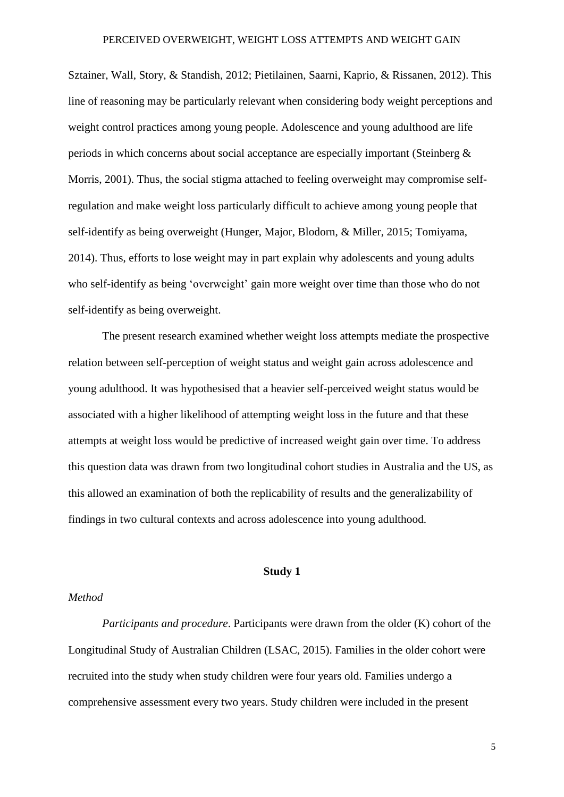Sztainer, Wall, Story, & Standish, 2012; Pietilainen, Saarni, Kaprio, & Rissanen, 2012). This line of reasoning may be particularly relevant when considering body weight perceptions and weight control practices among young people. Adolescence and young adulthood are life periods in which concerns about social acceptance are especially important (Steinberg & Morris, 2001). Thus, the social stigma attached to feeling overweight may compromise selfregulation and make weight loss particularly difficult to achieve among young people that self-identify as being overweight (Hunger, Major, Blodorn, & Miller, 2015; Tomiyama, 2014). Thus, efforts to lose weight may in part explain why adolescents and young adults who self-identify as being 'overweight' gain more weight over time than those who do not self-identify as being overweight.

The present research examined whether weight loss attempts mediate the prospective relation between self-perception of weight status and weight gain across adolescence and young adulthood. It was hypothesised that a heavier self-perceived weight status would be associated with a higher likelihood of attempting weight loss in the future and that these attempts at weight loss would be predictive of increased weight gain over time. To address this question data was drawn from two longitudinal cohort studies in Australia and the US, as this allowed an examination of both the replicability of results and the generalizability of findings in two cultural contexts and across adolescence into young adulthood.

## **Study 1**

### *Method*

*Participants and procedure*. Participants were drawn from the older (K) cohort of the Longitudinal Study of Australian Children (LSAC, 2015). Families in the older cohort were recruited into the study when study children were four years old. Families undergo a comprehensive assessment every two years. Study children were included in the present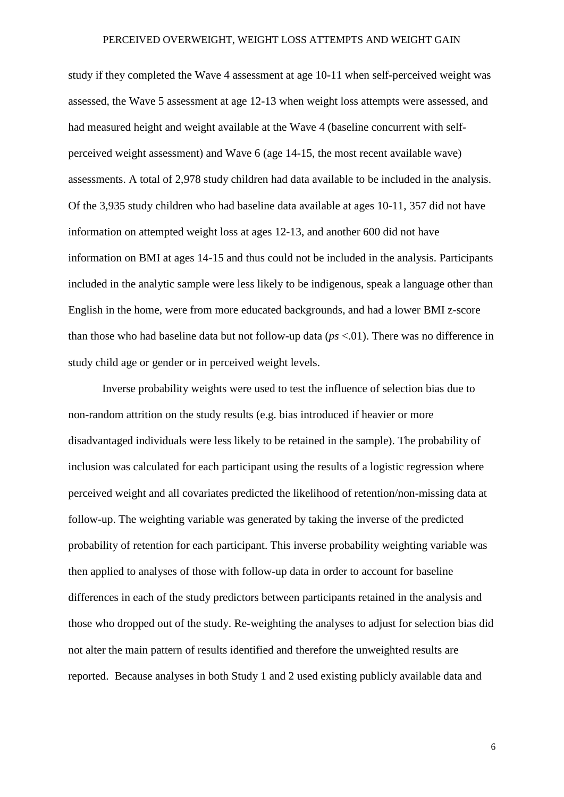study if they completed the Wave 4 assessment at age 10-11 when self-perceived weight was assessed, the Wave 5 assessment at age 12-13 when weight loss attempts were assessed, and had measured height and weight available at the Wave 4 (baseline concurrent with selfperceived weight assessment) and Wave 6 (age 14-15, the most recent available wave) assessments. A total of 2,978 study children had data available to be included in the analysis. Of the 3,935 study children who had baseline data available at ages 10-11, 357 did not have information on attempted weight loss at ages 12-13, and another 600 did not have information on BMI at ages 14-15 and thus could not be included in the analysis. Participants included in the analytic sample were less likely to be indigenous, speak a language other than English in the home, were from more educated backgrounds, and had a lower BMI z-score than those who had baseline data but not follow-up data (*ps* <.01). There was no difference in study child age or gender or in perceived weight levels.

Inverse probability weights were used to test the influence of selection bias due to non-random attrition on the study results (e.g. bias introduced if heavier or more disadvantaged individuals were less likely to be retained in the sample). The probability of inclusion was calculated for each participant using the results of a logistic regression where perceived weight and all covariates predicted the likelihood of retention/non-missing data at follow-up. The weighting variable was generated by taking the inverse of the predicted probability of retention for each participant. This inverse probability weighting variable was then applied to analyses of those with follow-up data in order to account for baseline differences in each of the study predictors between participants retained in the analysis and those who dropped out of the study. Re-weighting the analyses to adjust for selection bias did not alter the main pattern of results identified and therefore the unweighted results are reported. Because analyses in both Study 1 and 2 used existing publicly available data and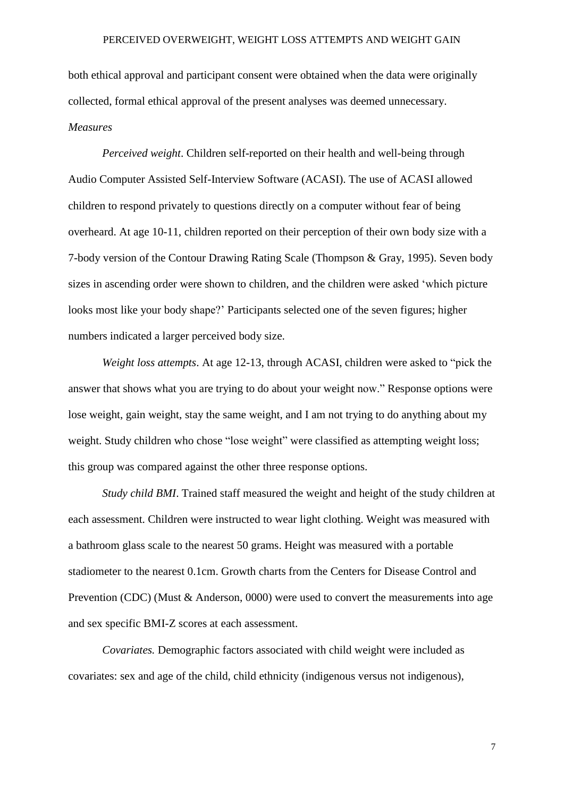both ethical approval and participant consent were obtained when the data were originally collected, formal ethical approval of the present analyses was deemed unnecessary. *Measures*

*Perceived weight*. Children self-reported on their health and well-being through Audio Computer Assisted Self-Interview Software (ACASI). The use of ACASI allowed children to respond privately to questions directly on a computer without fear of being overheard. At age 10-11, children reported on their perception of their own body size with a 7-body version of the Contour Drawing Rating Scale (Thompson & Gray, 1995). Seven body sizes in ascending order were shown to children, and the children were asked 'which picture looks most like your body shape?' Participants selected one of the seven figures; higher numbers indicated a larger perceived body size.

*Weight loss attempts*. At age 12-13, through ACASI, children were asked to "pick the answer that shows what you are trying to do about your weight now." Response options were lose weight, gain weight, stay the same weight, and I am not trying to do anything about my weight. Study children who chose "lose weight" were classified as attempting weight loss; this group was compared against the other three response options.

*Study child BMI*. Trained staff measured the weight and height of the study children at each assessment. Children were instructed to wear light clothing. Weight was measured with a bathroom glass scale to the nearest 50 grams. Height was measured with a portable stadiometer to the nearest 0.1cm. Growth charts from the Centers for Disease Control and Prevention (CDC) (Must & Anderson, 0000) were used to convert the measurements into age and sex specific BMI-Z scores at each assessment.

*Covariates.* Demographic factors associated with child weight were included as covariates: sex and age of the child, child ethnicity (indigenous versus not indigenous),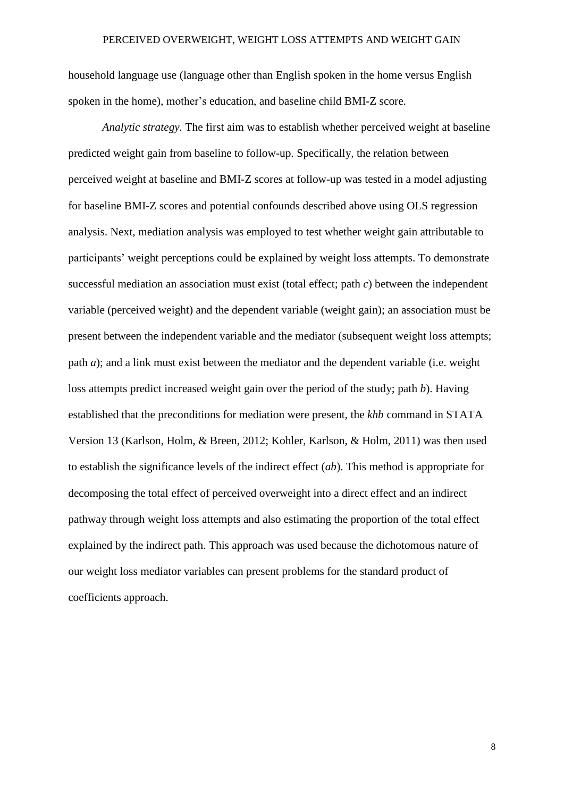household language use (language other than English spoken in the home versus English spoken in the home), mother's education, and baseline child BMI-Z score.

*Analytic strategy.* The first aim was to establish whether perceived weight at baseline predicted weight gain from baseline to follow-up. Specifically, the relation between perceived weight at baseline and BMI-Z scores at follow-up was tested in a model adjusting for baseline BMI-Z scores and potential confounds described above using OLS regression analysis. Next, mediation analysis was employed to test whether weight gain attributable to participants' weight perceptions could be explained by weight loss attempts. To demonstrate successful mediation an association must exist (total effect; path *c*) between the independent variable (perceived weight) and the dependent variable (weight gain); an association must be present between the independent variable and the mediator (subsequent weight loss attempts; path *a*); and a link must exist between the mediator and the dependent variable (i.e. weight loss attempts predict increased weight gain over the period of the study; path *b*). Having established that the preconditions for mediation were present, the *khb* command in STATA Version 13 (Karlson, Holm, & Breen, 2012; Kohler, Karlson, & Holm, 2011) was then used to establish the significance levels of the indirect effect (*ab*). This method is appropriate for decomposing the total effect of perceived overweight into a direct effect and an indirect pathway through weight loss attempts and also estimating the proportion of the total effect explained by the indirect path. This approach was used because the dichotomous nature of our weight loss mediator variables can present problems for the standard product of coefficients approach.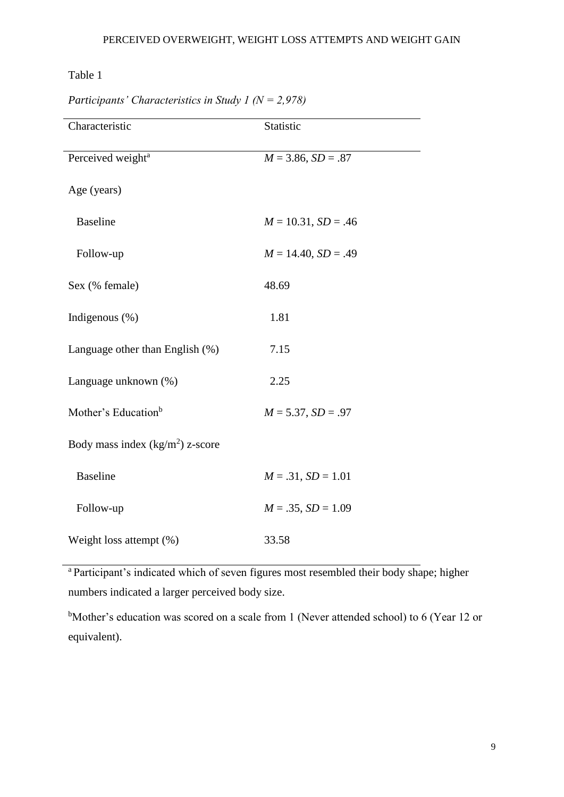## Table 1

| Characteristic                    | Statistic               |
|-----------------------------------|-------------------------|
| Perceived weight <sup>a</sup>     | $M = 3.86, SD = .87$    |
| Age (years)                       |                         |
| <b>Baseline</b>                   | $M = 10.31, SD = .46$   |
| Follow-up                         | $M = 14.40, SD = .49$   |
| Sex (% female)                    | 48.69                   |
| Indigenous (%)                    | 1.81                    |
| Language other than English (%)   | 7.15                    |
| Language unknown (%)              | 2.25                    |
| Mother's Education <sup>b</sup>   | $M = 5.37, SD = .97$    |
| Body mass index $(kg/m2)$ z-score |                         |
| <b>Baseline</b>                   | $M = .31, SD = 1.01$    |
| Follow-up                         | $M = .35$ , $SD = 1.09$ |
| Weight loss attempt (%)           | 33.58                   |

*Participants' Characteristics in Study 1 (N = 2,978)*

<sup>a</sup> Participant's indicated which of seven figures most resembled their body shape; higher numbers indicated a larger perceived body size.

bMother's education was scored on a scale from 1 (Never attended school) to 6 (Year 12 or equivalent).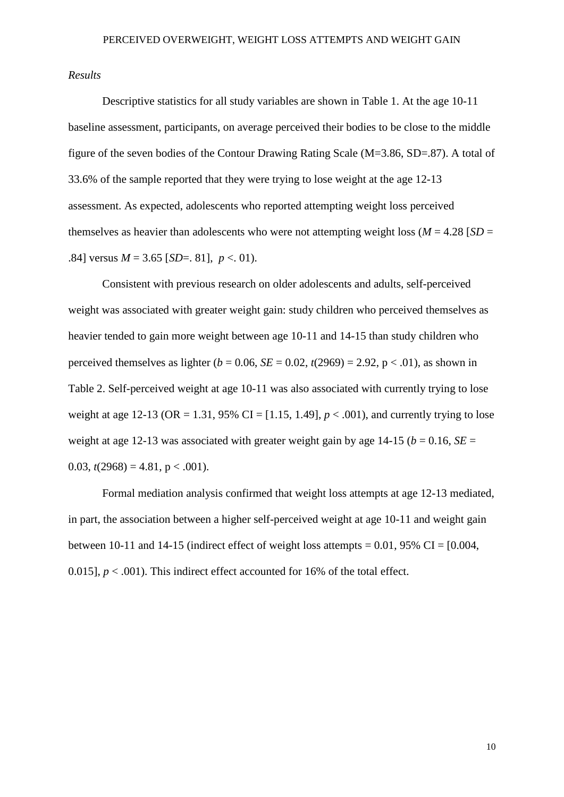#### *Results*

Descriptive statistics for all study variables are shown in Table 1. At the age 10-11 baseline assessment, participants, on average perceived their bodies to be close to the middle figure of the seven bodies of the Contour Drawing Rating Scale (M=3.86, SD=.87). A total of 33.6% of the sample reported that they were trying to lose weight at the age 12-13 assessment. As expected, adolescents who reported attempting weight loss perceived themselves as heavier than adolescents who were not attempting weight loss ( $M = 4.28$  [ $SD =$ .84] versus  $M = 3.65$  [*SD*=. 81],  $p < 01$ ).

Consistent with previous research on older adolescents and adults, self-perceived weight was associated with greater weight gain: study children who perceived themselves as heavier tended to gain more weight between age 10-11 and 14-15 than study children who perceived themselves as lighter ( $b = 0.06$ ,  $SE = 0.02$ ,  $t(2969) = 2.92$ ,  $p < .01$ ), as shown in Table 2. Self-perceived weight at age 10-11 was also associated with currently trying to lose weight at age 12-13 ( $OR = 1.31$ ,  $95\%$   $CI = [1.15, 1.49]$ ,  $p < .001$ ), and currently trying to lose weight at age 12-13 was associated with greater weight gain by age 14-15 ( $b = 0.16$ ,  $SE =$ 0.03,  $t(2968) = 4.81$ ,  $p < .001$ ).

Formal mediation analysis confirmed that weight loss attempts at age 12-13 mediated, in part, the association between a higher self-perceived weight at age 10-11 and weight gain between 10-11 and 14-15 (indirect effect of weight loss attempts =  $0.01$ , 95% CI =  $[0.004]$ , 0.015],  $p < .001$ ). This indirect effect accounted for 16% of the total effect.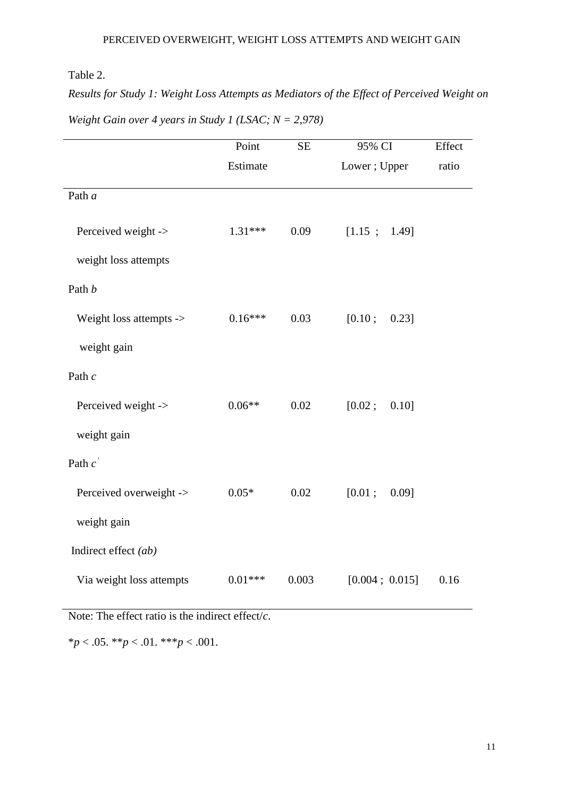## Table 2.

*Results for Study 1: Weight Loss Attempts as Mediators of the Effect of Perceived Weight on Weight Gain over 4 years in Study 1 (LSAC; N = 2,978)*

|                                                      | Point     | <b>SE</b> | 95% CI             | Effect |  |
|------------------------------------------------------|-----------|-----------|--------------------|--------|--|
|                                                      | Estimate  |           | Lower; Upper       | ratio  |  |
| Path a                                               |           |           |                    |        |  |
| Perceived weight ->                                  | $1.31***$ | 0.09      | [1.15; 1.49]       |        |  |
| weight loss attempts                                 |           |           |                    |        |  |
| Path b                                               |           |           |                    |        |  |
| Weight loss attempts ->                              | $0.16***$ | 0.03      | [0.10;<br>$0.23$ ] |        |  |
| weight gain                                          |           |           |                    |        |  |
| Path $c$                                             |           |           |                    |        |  |
| Perceived weight ->                                  | $0.06**$  | 0.02      | [0.02;<br>0.10]    |        |  |
| weight gain                                          |           |           |                    |        |  |
| Path $c^{\prime}$                                    |           |           |                    |        |  |
| Perceived overweight ->                              | $0.05*$   | 0.02      | [0.01;<br>$0.09$ ] |        |  |
| weight gain                                          |           |           |                    |        |  |
| Indirect effect (ab)                                 |           |           |                    |        |  |
| Via weight loss attempts                             | $0.01***$ | 0.003     | [0.004; 0.015]     | 0.16   |  |
| Note: The effect ratio is the indirect effect/ $c$ . |           |           |                    |        |  |

\**p* < .05. \*\**p* < .01. \*\*\**p* < .001.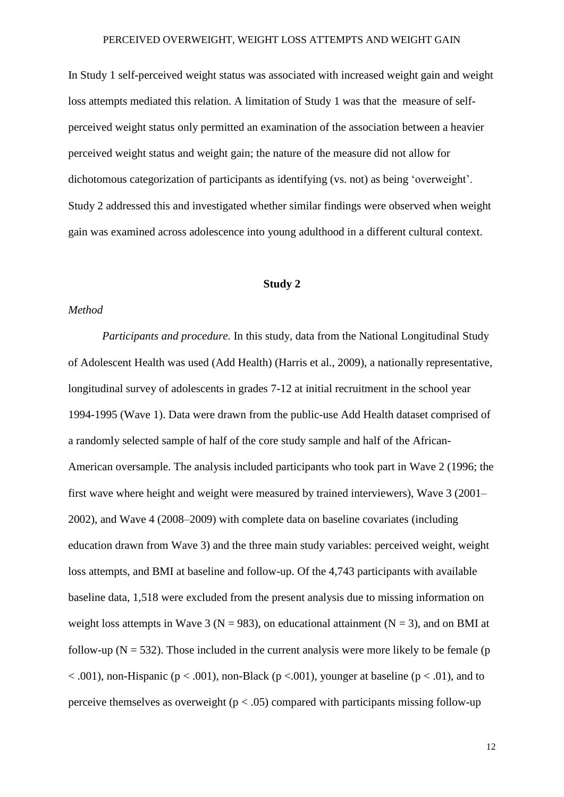In Study 1 self-perceived weight status was associated with increased weight gain and weight loss attempts mediated this relation. A limitation of Study 1 was that the measure of selfperceived weight status only permitted an examination of the association between a heavier perceived weight status and weight gain; the nature of the measure did not allow for dichotomous categorization of participants as identifying (vs. not) as being 'overweight'. Study 2 addressed this and investigated whether similar findings were observed when weight gain was examined across adolescence into young adulthood in a different cultural context.

## **Study 2**

#### *Method*

*Participants and procedure.* In this study, data from the National Longitudinal Study of Adolescent Health was used (Add Health) (Harris et al., 2009), a nationally representative, longitudinal survey of adolescents in grades 7-12 at initial recruitment in the school year 1994-1995 (Wave 1). Data were drawn from the public-use Add Health dataset comprised of a randomly selected sample of half of the core study sample and half of the African-American oversample. The analysis included participants who took part in Wave 2 (1996; the first wave where height and weight were measured by trained interviewers), Wave 3 (2001– 2002), and Wave 4 (2008–2009) with complete data on baseline covariates (including education drawn from Wave 3) and the three main study variables: perceived weight, weight loss attempts, and BMI at baseline and follow-up. Of the 4,743 participants with available baseline data, 1,518 were excluded from the present analysis due to missing information on weight loss attempts in Wave 3 ( $N = 983$ ), on educational attainment ( $N = 3$ ), and on BMI at follow-up ( $N = 532$ ). Those included in the current analysis were more likely to be female (p  $< .001$ ), non-Hispanic ( $p < .001$ ), non-Black ( $p < .001$ ), younger at baseline ( $p < .01$ ), and to perceive themselves as overweight ( $p < .05$ ) compared with participants missing follow-up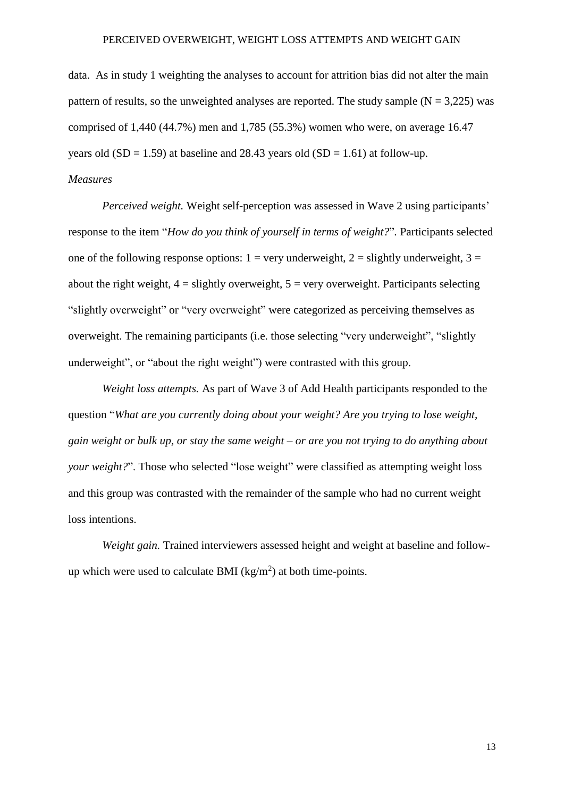data. As in study 1 weighting the analyses to account for attrition bias did not alter the main pattern of results, so the unweighted analyses are reported. The study sample  $(N = 3,225)$  was comprised of 1,440 (44.7%) men and 1,785 (55.3%) women who were, on average 16.47 years old  $(SD = 1.59)$  at baseline and 28.43 years old  $(SD = 1.61)$  at follow-up. *Measures*

*Perceived weight.* Weight self-perception was assessed in Wave 2 using participants' response to the item "*How do you think of yourself in terms of weight?*"*.* Participants selected one of the following response options:  $1 = \text{very}$  underweight,  $2 = \text{slightly}$  underweight,  $3 =$ about the right weight,  $4 =$  slightly overweight,  $5 =$  very overweight. Participants selecting "slightly overweight" or "very overweight" were categorized as perceiving themselves as overweight. The remaining participants (i.e. those selecting "very underweight", "slightly underweight", or "about the right weight") were contrasted with this group.

*Weight loss attempts.* As part of Wave 3 of Add Health participants responded to the question "*What are you currently doing about your weight? Are you trying to lose weight,* gain weight or bulk up, or stay the same weight – or are you not trying to do anything about *your weight?"*. Those who selected "lose weight" were classified as attempting weight loss and this group was contrasted with the remainder of the sample who had no current weight loss intentions.

*Weight gain.* Trained interviewers assessed height and weight at baseline and followup which were used to calculate BMI  $(kg/m<sup>2</sup>)$  at both time-points.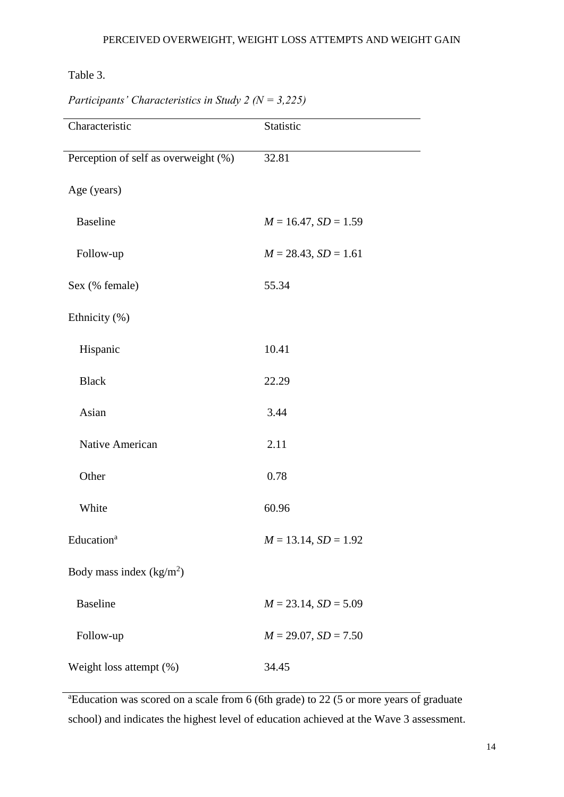Table 3.

| Characteristic                       | Statistic                 |
|--------------------------------------|---------------------------|
| Perception of self as overweight (%) | 32.81                     |
| Age (years)                          |                           |
| <b>Baseline</b>                      | $M = 16.47, SD = 1.59$    |
| Follow-up                            | $M = 28.43$ , $SD = 1.61$ |
| Sex (% female)                       | 55.34                     |
| Ethnicity (%)                        |                           |
| Hispanic                             | 10.41                     |
| <b>Black</b>                         | 22.29                     |
| Asian                                | 3.44                      |
| Native American                      | 2.11                      |
| Other                                | 0.78                      |
| White                                | 60.96                     |
| Education <sup>a</sup>               | $M = 13.14, SD = 1.92$    |
| Body mass index $(kg/m2)$            |                           |
| <b>Baseline</b>                      | $M = 23.14$ , $SD = 5.09$ |
| Follow-up                            | $M = 29.07$ , $SD = 7.50$ |
| Weight loss attempt (%)              | 34.45                     |

*Participants' Characteristics in Study 2 (N = 3,225)*

<sup>a</sup>Education was scored on a scale from 6 (6th grade) to 22 (5 or more years of graduate school) and indicates the highest level of education achieved at the Wave 3 assessment.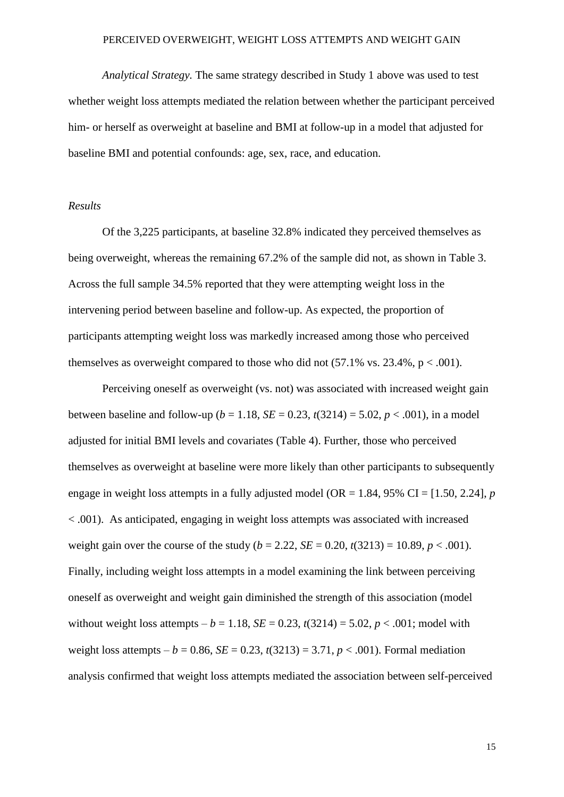*Analytical Strategy.* The same strategy described in Study 1 above was used to test whether weight loss attempts mediated the relation between whether the participant perceived him- or herself as overweight at baseline and BMI at follow-up in a model that adjusted for baseline BMI and potential confounds: age, sex, race, and education.

## *Results*

Of the 3,225 participants, at baseline 32.8% indicated they perceived themselves as being overweight, whereas the remaining 67.2% of the sample did not, as shown in Table 3. Across the full sample 34.5% reported that they were attempting weight loss in the intervening period between baseline and follow-up. As expected, the proportion of participants attempting weight loss was markedly increased among those who perceived themselves as overweight compared to those who did not  $(57.1\% \text{ vs. } 23.4\%, \text{ p} < .001)$ .

Perceiving oneself as overweight (vs. not) was associated with increased weight gain between baseline and follow-up ( $b = 1.18$ ,  $SE = 0.23$ ,  $t(3214) = 5.02$ ,  $p < .001$ ), in a model adjusted for initial BMI levels and covariates (Table 4). Further, those who perceived themselves as overweight at baseline were more likely than other participants to subsequently engage in weight loss attempts in a fully adjusted model ( $OR = 1.84$ , 95% CI = [1.50, 2.24], *p* < .001). As anticipated, engaging in weight loss attempts was associated with increased weight gain over the course of the study  $(b = 2.22, SE = 0.20, t(3213) = 10.89, p < .001)$ . Finally, including weight loss attempts in a model examining the link between perceiving oneself as overweight and weight gain diminished the strength of this association (model without weight loss attempts –  $b = 1.18$ ,  $SE = 0.23$ ,  $t(3214) = 5.02$ ,  $p < .001$ ; model with weight loss attempts – *b* = 0.86, *SE* = 0.23,  $t(3213) = 3.71$ ,  $p < .001$ ). Formal mediation analysis confirmed that weight loss attempts mediated the association between self-perceived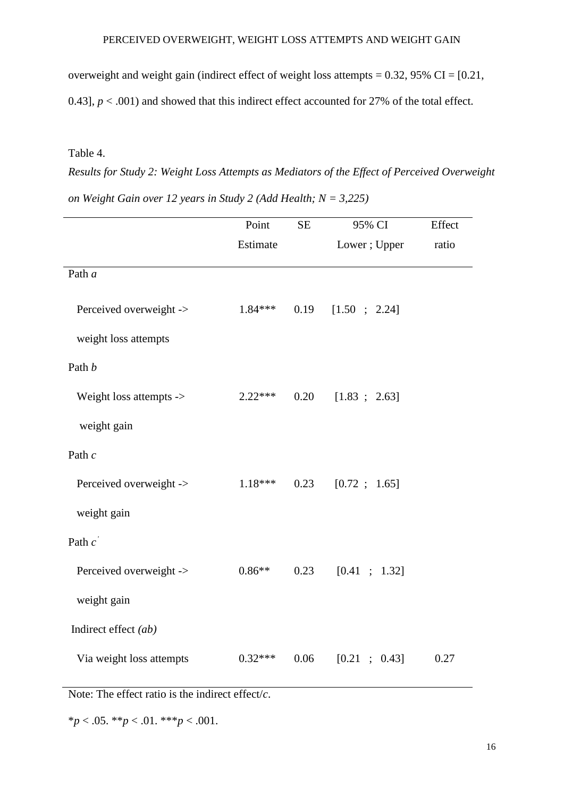overweight and weight gain (indirect effect of weight loss attempts =  $0.32$ ,  $95\%$  CI =  $[0.21$ , 0.43],  $p < .001$  and showed that this indirect effect accounted for 27% of the total effect.

## Table 4.

*Results for Study 2: Weight Loss Attempts as Mediators of the Effect of Perceived Overweight on Weight Gain over 12 years in Study 2 (Add Health; N = 3,225)*

|                          | Point     | <b>SE</b> | 95% CI       | Effect |
|--------------------------|-----------|-----------|--------------|--------|
|                          | Estimate  |           | Lower; Upper | ratio  |
| Path a                   |           |           |              |        |
| Perceived overweight ->  | $1.84***$ | 0.19      | [1.50; 2.24] |        |
| weight loss attempts     |           |           |              |        |
| Path b                   |           |           |              |        |
| Weight loss attempts ->  | $2.22***$ | 0.20      | [1.83; 2.63] |        |
| weight gain              |           |           |              |        |
| Path $c$                 |           |           |              |        |
| Perceived overweight ->  | $1.18***$ | 0.23      | [0.72; 1.65] |        |
| weight gain              |           |           |              |        |
| Path $c^{\prime}$        |           |           |              |        |
| Perceived overweight ->  | $0.86**$  | 0.23      | [0.41; 1.32] |        |
| weight gain              |           |           |              |        |
| Indirect effect (ab)     |           |           |              |        |
| Via weight loss attempts | $0.32***$ | 0.06      | [0.21; 0.43] | 0.27   |

Note: The effect ratio is the indirect effect/*c*.

\**p* < .05. \*\**p* < .01. \*\*\**p* < .001.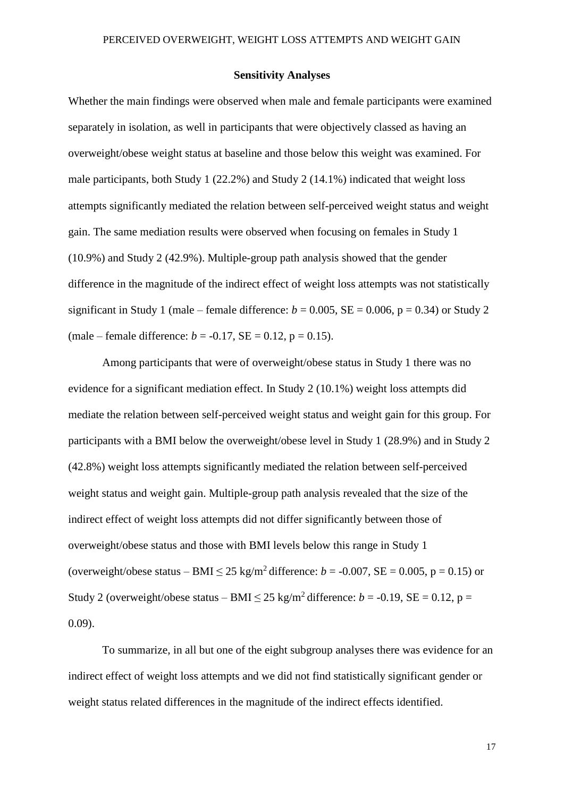#### **Sensitivity Analyses**

Whether the main findings were observed when male and female participants were examined separately in isolation, as well in participants that were objectively classed as having an overweight/obese weight status at baseline and those below this weight was examined. For male participants, both Study 1 (22.2%) and Study 2 (14.1%) indicated that weight loss attempts significantly mediated the relation between self-perceived weight status and weight gain. The same mediation results were observed when focusing on females in Study 1 (10.9%) and Study 2 (42.9%). Multiple-group path analysis showed that the gender difference in the magnitude of the indirect effect of weight loss attempts was not statistically significant in Study 1 (male – female difference:  $b = 0.005$ ,  $SE = 0.006$ ,  $p = 0.34$ ) or Study 2 (male – female difference:  $b = -0.17$ , SE = 0.12, p = 0.15).

Among participants that were of overweight/obese status in Study 1 there was no evidence for a significant mediation effect. In Study 2 (10.1%) weight loss attempts did mediate the relation between self-perceived weight status and weight gain for this group. For participants with a BMI below the overweight/obese level in Study 1 (28.9%) and in Study 2 (42.8%) weight loss attempts significantly mediated the relation between self-perceived weight status and weight gain. Multiple-group path analysis revealed that the size of the indirect effect of weight loss attempts did not differ significantly between those of overweight/obese status and those with BMI levels below this range in Study 1 (overweight/obese status – BMI  $\leq 25$  kg/m<sup>2</sup> difference:  $b = -0.007$ , SE = 0.005, p = 0.15) or Study 2 (overweight/obese status – BMI  $\leq$  25 kg/m<sup>2</sup> difference: *b* = -0.19, SE = 0.12, p = 0.09).

To summarize, in all but one of the eight subgroup analyses there was evidence for an indirect effect of weight loss attempts and we did not find statistically significant gender or weight status related differences in the magnitude of the indirect effects identified.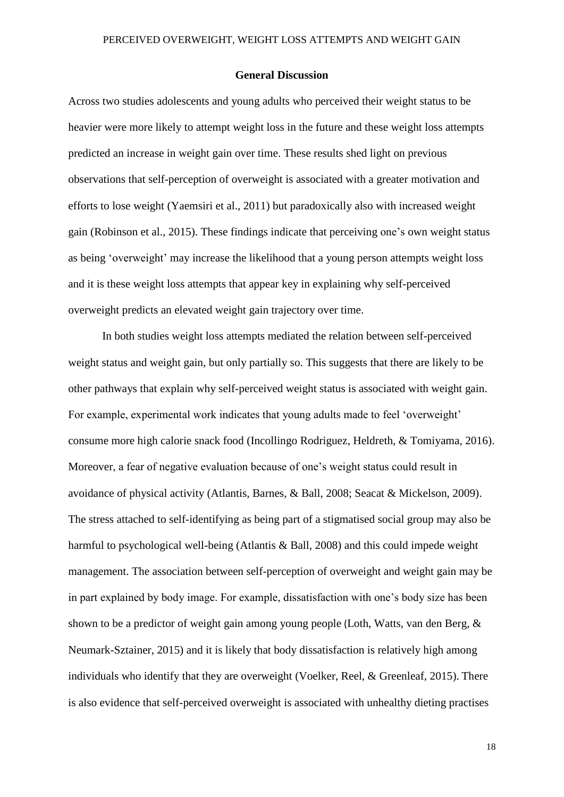#### **General Discussion**

Across two studies adolescents and young adults who perceived their weight status to be heavier were more likely to attempt weight loss in the future and these weight loss attempts predicted an increase in weight gain over time. These results shed light on previous observations that self-perception of overweight is associated with a greater motivation and efforts to lose weight (Yaemsiri et al., 2011) but paradoxically also with increased weight gain (Robinson et al., 2015). These findings indicate that perceiving one's own weight status as being 'overweight' may increase the likelihood that a young person attempts weight loss and it is these weight loss attempts that appear key in explaining why self-perceived overweight predicts an elevated weight gain trajectory over time.

In both studies weight loss attempts mediated the relation between self-perceived weight status and weight gain, but only partially so. This suggests that there are likely to be other pathways that explain why self-perceived weight status is associated with weight gain. For example, experimental work indicates that young adults made to feel 'overweight' consume more high calorie snack food (Incollingo Rodriguez, Heldreth, & Tomiyama, 2016). Moreover, a fear of negative evaluation because of one's weight status could result in avoidance of physical activity (Atlantis, Barnes, & Ball, 2008; Seacat & Mickelson, 2009). The stress attached to self-identifying as being part of a stigmatised social group may also be harmful to psychological well-being (Atlantis & Ball, 2008) and this could impede weight management. The association between self-perception of overweight and weight gain may be in part explained by body image. For example, dissatisfaction with one's body size has been shown to be a predictor of weight gain among young people (Loth, Watts, van den Berg, & Neumark-Sztainer, 2015) and it is likely that body dissatisfaction is relatively high among individuals who identify that they are overweight (Voelker, Reel, & Greenleaf, 2015). There is also evidence that self-perceived overweight is associated with unhealthy dieting practises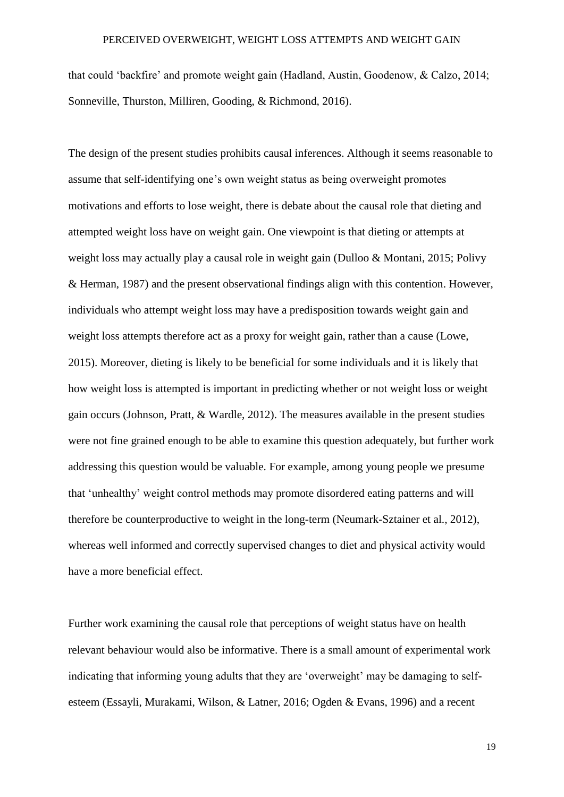that could 'backfire' and promote weight gain (Hadland, Austin, Goodenow, & Calzo, 2014; Sonneville, Thurston, Milliren, Gooding, & Richmond, 2016).

The design of the present studies prohibits causal inferences. Although it seems reasonable to assume that self-identifying one's own weight status as being overweight promotes motivations and efforts to lose weight, there is debate about the causal role that dieting and attempted weight loss have on weight gain. One viewpoint is that dieting or attempts at weight loss may actually play a causal role in weight gain (Dulloo & Montani, 2015; Polivy & Herman, 1987) and the present observational findings align with this contention. However, individuals who attempt weight loss may have a predisposition towards weight gain and weight loss attempts therefore act as a proxy for weight gain, rather than a cause (Lowe, 2015). Moreover, dieting is likely to be beneficial for some individuals and it is likely that how weight loss is attempted is important in predicting whether or not weight loss or weight gain occurs (Johnson, Pratt, & Wardle, 2012). The measures available in the present studies were not fine grained enough to be able to examine this question adequately, but further work addressing this question would be valuable. For example, among young people we presume that 'unhealthy' weight control methods may promote disordered eating patterns and will therefore be counterproductive to weight in the long-term (Neumark-Sztainer et al., 2012), whereas well informed and correctly supervised changes to diet and physical activity would have a more beneficial effect.

Further work examining the causal role that perceptions of weight status have on health relevant behaviour would also be informative. There is a small amount of experimental work indicating that informing young adults that they are 'overweight' may be damaging to selfesteem (Essayli, Murakami, Wilson, & Latner, 2016; Ogden & Evans, 1996) and a recent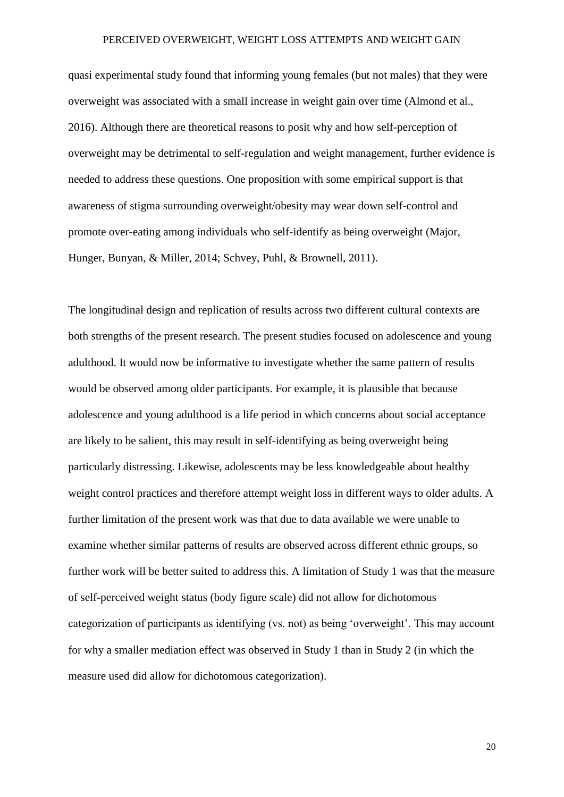quasi experimental study found that informing young females (but not males) that they were overweight was associated with a small increase in weight gain over time (Almond et al., 2016). Although there are theoretical reasons to posit why and how self-perception of overweight may be detrimental to self-regulation and weight management, further evidence is needed to address these questions. One proposition with some empirical support is that awareness of stigma surrounding overweight/obesity may wear down self-control and promote over-eating among individuals who self-identify as being overweight (Major, Hunger, Bunyan, & Miller, 2014; Schvey, Puhl, & Brownell, 2011).

The longitudinal design and replication of results across two different cultural contexts are both strengths of the present research. The present studies focused on adolescence and young adulthood. It would now be informative to investigate whether the same pattern of results would be observed among older participants. For example, it is plausible that because adolescence and young adulthood is a life period in which concerns about social acceptance are likely to be salient, this may result in self-identifying as being overweight being particularly distressing. Likewise, adolescents may be less knowledgeable about healthy weight control practices and therefore attempt weight loss in different ways to older adults. A further limitation of the present work was that due to data available we were unable to examine whether similar patterns of results are observed across different ethnic groups, so further work will be better suited to address this. A limitation of Study 1 was that the measure of self-perceived weight status (body figure scale) did not allow for dichotomous categorization of participants as identifying (vs. not) as being 'overweight'. This may account for why a smaller mediation effect was observed in Study 1 than in Study 2 (in which the measure used did allow for dichotomous categorization).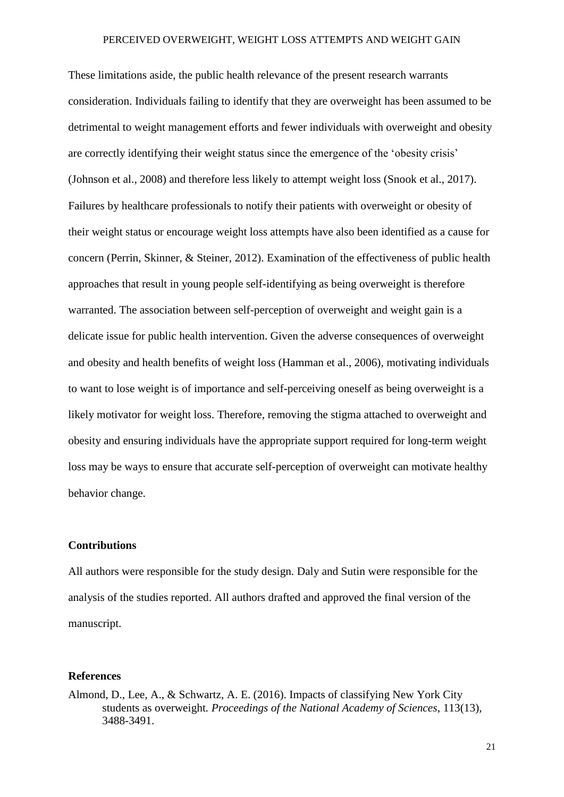These limitations aside, the public health relevance of the present research warrants consideration. Individuals failing to identify that they are overweight has been assumed to be detrimental to weight management efforts and fewer individuals with overweight and obesity are correctly identifying their weight status since the emergence of the 'obesity crisis' (Johnson et al., 2008) and therefore less likely to attempt weight loss (Snook et al., 2017). Failures by healthcare professionals to notify their patients with overweight or obesity of their weight status or encourage weight loss attempts have also been identified as a cause for concern (Perrin, Skinner, & Steiner, 2012). Examination of the effectiveness of public health approaches that result in young people self-identifying as being overweight is therefore warranted. The association between self-perception of overweight and weight gain is a delicate issue for public health intervention. Given the adverse consequences of overweight and obesity and health benefits of weight loss (Hamman et al., 2006), motivating individuals to want to lose weight is of importance and self-perceiving oneself as being overweight is a likely motivator for weight loss. Therefore, removing the stigma attached to overweight and obesity and ensuring individuals have the appropriate support required for long-term weight loss may be ways to ensure that accurate self-perception of overweight can motivate healthy behavior change.

### **Contributions**

All authors were responsible for the study design. Daly and Sutin were responsible for the analysis of the studies reported. All authors drafted and approved the final version of the manuscript.

#### **References**

Almond, D., Lee, A., & Schwartz, A. E. (2016). Impacts of classifying New York City students as overweight*. Proceedings of the National Academy of Sciences*, 113(13), 3488-3491.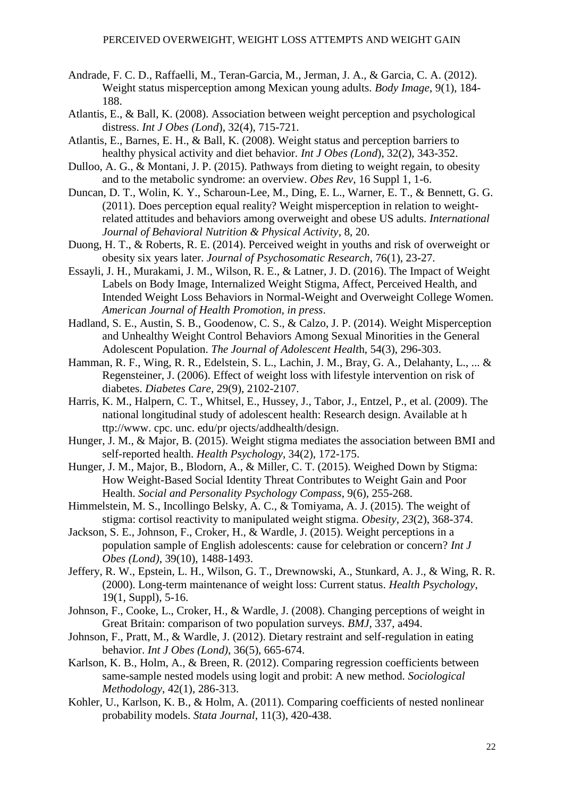- Andrade, F. C. D., Raffaelli, M., Teran-Garcia, M., Jerman, J. A., & Garcia, C. A. (2012). Weight status misperception among Mexican young adults. *Body Image*, 9(1), 184- 188.
- Atlantis, E., & Ball, K. (2008). Association between weight perception and psychological distress. *Int J Obes (Lond*), 32(4), 715-721.
- Atlantis, E., Barnes, E. H., & Ball, K. (2008). Weight status and perception barriers to healthy physical activity and diet behavior. *Int J Obes (Lond*), 32(2), 343-352.
- Dulloo, A. G., & Montani, J. P. (2015). Pathways from dieting to weight regain, to obesity and to the metabolic syndrome: an overview. *Obes Rev*, 16 Suppl 1, 1-6.
- Duncan, D. T., Wolin, K. Y., Scharoun-Lee, M., Ding, E. L., Warner, E. T., & Bennett, G. G. (2011). Does perception equal reality? Weight misperception in relation to weightrelated attitudes and behaviors among overweight and obese US adults. *International Journal of Behavioral Nutrition & Physical Activity*, 8, 20.
- Duong, H. T., & Roberts, R. E. (2014). Perceived weight in youths and risk of overweight or obesity six years later. *Journal of Psychosomatic Research*, 76(1), 23-27.
- Essayli, J. H., Murakami, J. M., Wilson, R. E., & Latner, J. D. (2016). The Impact of Weight Labels on Body Image, Internalized Weight Stigma, Affect, Perceived Health, and Intended Weight Loss Behaviors in Normal-Weight and Overweight College Women. *American Journal of Health Promotion, in press*.
- Hadland, S. E., Austin, S. B., Goodenow, C. S., & Calzo, J. P. (2014). Weight Misperception and Unhealthy Weight Control Behaviors Among Sexual Minorities in the General Adolescent Population. *The Journal of Adolescent Healt*h, 54(3), 296-303.
- Hamman, R. F., Wing, R. R., Edelstein, S. L., Lachin, J. M., Bray, G. A., Delahanty, L., ... & Regensteiner, J. (2006). Effect of weight loss with lifestyle intervention on risk of diabetes. *Diabetes Care*, 29(9), 2102-2107.
- Harris, K. M., Halpern, C. T., Whitsel, E., Hussey, J., Tabor, J., Entzel, P., et al. (2009). The national longitudinal study of adolescent health: Research design. Available at h ttp://www. cpc. unc. edu/pr ojects/addhealth/design.
- Hunger, J. M., & Major, B. (2015). Weight stigma mediates the association between BMI and self-reported health. *Health Psychology*, 34(2), 172-175.
- Hunger, J. M., Major, B., Blodorn, A., & Miller, C. T. (2015). Weighed Down by Stigma: How Weight-Based Social Identity Threat Contributes to Weight Gain and Poor Health. *Social and Personality Psychology Compass*, 9(6), 255-268.
- Himmelstein, M. S., Incollingo Belsky, A. C., & Tomiyama, A. J. (2015). The weight of stigma: cortisol reactivity to manipulated weight stigma. *Obesity*, *23*(2), 368-374.
- Jackson, S. E., Johnson, F., Croker, H., & Wardle, J. (2015). Weight perceptions in a population sample of English adolescents: cause for celebration or concern? *Int J Obes (Lond)*, 39(10), 1488-1493.
- Jeffery, R. W., Epstein, L. H., Wilson, G. T., Drewnowski, A., Stunkard, A. J., & Wing, R. R. (2000). Long-term maintenance of weight loss: Current status. *Health Psychology*, 19(1, Suppl), 5-16.
- Johnson, F., Cooke, L., Croker, H., & Wardle, J. (2008). Changing perceptions of weight in Great Britain: comparison of two population surveys. *BMJ*, 337, a494.
- Johnson, F., Pratt, M., & Wardle, J. (2012). Dietary restraint and self-regulation in eating behavior. *Int J Obes (Lond)*, 36(5), 665-674.
- Karlson, K. B., Holm, A., & Breen, R. (2012). Comparing regression coefficients between same-sample nested models using logit and probit: A new method. *Sociological Methodology*, 42(1), 286-313.
- Kohler, U., Karlson, K. B., & Holm, A. (2011). Comparing coefficients of nested nonlinear probability models. *Stata Journal*, 11(3), 420-438.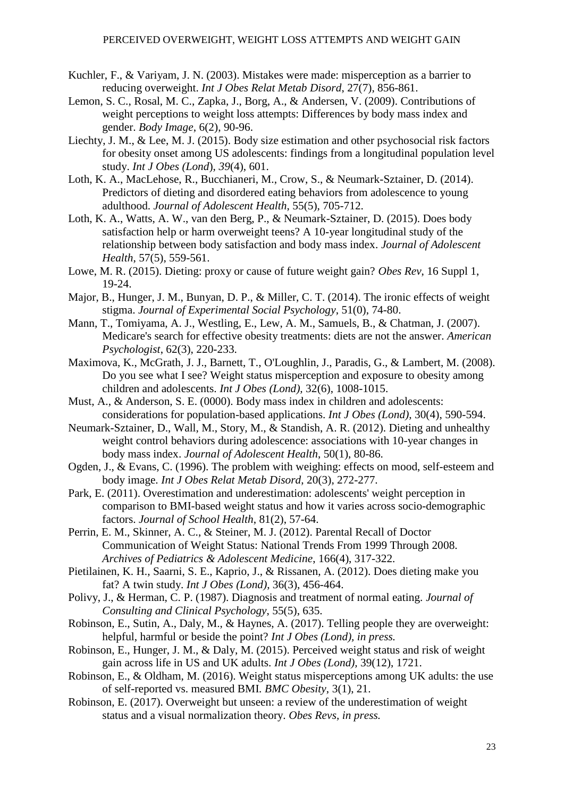- Kuchler, F., & Variyam, J. N. (2003). Mistakes were made: misperception as a barrier to reducing overweight. *Int J Obes Relat Metab Disord*, 27(7), 856-861.
- Lemon, S. C., Rosal, M. C., Zapka, J., Borg, A., & Andersen, V. (2009). Contributions of weight perceptions to weight loss attempts: Differences by body mass index and gender. *Body Image*, 6(2), 90-96.
- Liechty, J. M., & Lee, M. J. (2015). Body size estimation and other psychosocial risk factors for obesity onset among US adolescents: findings from a longitudinal population level study. *Int J Obes (Lond*), *39*(4), 601.
- Loth, K. A., MacLehose, R., Bucchianeri, M., Crow, S., & Neumark-Sztainer, D. (2014). Predictors of dieting and disordered eating behaviors from adolescence to young adulthood. *Journal of Adolescent Health*, 55(5), 705-712.
- Loth, K. A., Watts, A. W., van den Berg, P., & Neumark-Sztainer, D. (2015). Does body satisfaction help or harm overweight teens? A 10-year longitudinal study of the relationship between body satisfaction and body mass index. *Journal of Adolescent Health*, 57(5), 559-561.
- Lowe, M. R. (2015). Dieting: proxy or cause of future weight gain? *Obes Rev*, 16 Suppl 1, 19-24.
- Major, B., Hunger, J. M., Bunyan, D. P., & Miller, C. T. (2014). The ironic effects of weight stigma. *Journal of Experimental Social Psychology*, 51(0), 74-80.
- Mann, T., Tomiyama, A. J., Westling, E., Lew, A. M., Samuels, B., & Chatman, J. (2007). Medicare's search for effective obesity treatments: diets are not the answer. *American Psychologist*, 62(3), 220-233.
- Maximova, K., McGrath, J. J., Barnett, T., O'Loughlin, J., Paradis, G., & Lambert, M. (2008). Do you see what I see? Weight status misperception and exposure to obesity among children and adolescents. *Int J Obes (Lond),* 32(6), 1008-1015.
- Must, A., & Anderson, S. E. (0000). Body mass index in children and adolescents: considerations for population-based applications. *Int J Obes (Lond),* 30(4), 590-594.
- Neumark-Sztainer, D., Wall, M., Story, M., & Standish, A. R. (2012). Dieting and unhealthy weight control behaviors during adolescence: associations with 10-year changes in body mass index. *Journal of Adolescent Health*, 50(1), 80-86.
- Ogden, J., & Evans, C. (1996). The problem with weighing: effects on mood, self-esteem and body image. *Int J Obes Relat Metab Disord*, 20(3), 272-277.
- Park, E. (2011). Overestimation and underestimation: adolescents' weight perception in comparison to BMI-based weight status and how it varies across socio-demographic factors. *Journal of School Health*, 81(2), 57-64.
- Perrin, E. M., Skinner, A. C., & Steiner, M. J. (2012). Parental Recall of Doctor Communication of Weight Status: National Trends From 1999 Through 2008. *Archives of Pediatrics & Adolescent Medicine*, 166(4), 317-322.
- Pietilainen, K. H., Saarni, S. E., Kaprio, J., & Rissanen, A. (2012). Does dieting make you fat? A twin study. *Int J Obes (Lond)*, 36(3), 456-464.
- Polivy, J., & Herman, C. P. (1987). Diagnosis and treatment of normal eating. *Journal of Consulting and Clinical Psychology*, 55(5), 635.
- Robinson, E., Sutin, A., Daly, M., & Haynes, A. (2017). Telling people they are overweight: helpful, harmful or beside the point? *Int J Obes (Lond), in press.*
- Robinson, E., Hunger, J. M., & Daly, M. (2015). Perceived weight status and risk of weight gain across life in US and UK adults. *Int J Obes (Lond),* 39(12), 1721.
- Robinson, E., & Oldham, M. (2016). Weight status misperceptions among UK adults: the use of self-reported vs. measured BMI*. BMC Obesity*, 3(1), 21.
- Robinson, E. (2017). Overweight but unseen: a review of the underestimation of weight status and a visual normalization theory. *Obes Revs, in press.*